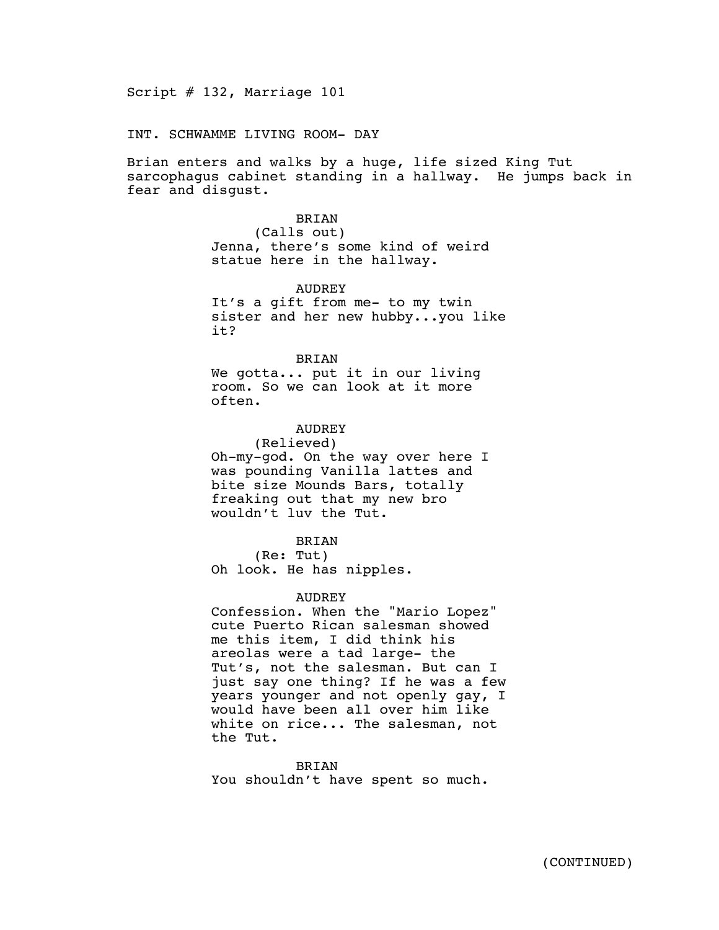Script # 132, Marriage 101

INT. SCHWAMME LIVING ROOM- DAY

Brian enters and walks by a huge, life sized King Tut sarcophagus cabinet standing in a hallway. He jumps back in fear and disgust.

### BRIAN

(Calls out) Jenna, there's some kind of weird statue here in the hallway.

#### AUDREY

It's a gift from me- to my twin sister and her new hubby...you like it?

# BRIAN

We gotta... put it in our living room. So we can look at it more often.

# **AUDREY**

(Relieved) Oh-my-god. On the way over here I was pounding Vanilla lattes and bite size Mounds Bars, totally freaking out that my new bro wouldn't luv the Tut.

# BRIAN

(Re: Tut) Oh look. He has nipples.

#### AUDREY

Confession. When the "Mario Lopez" cute Puerto Rican salesman showed me this item, I did think his areolas were a tad large- the Tut's, not the salesman. But can I just say one thing? If he was a few years younger and not openly gay, I would have been all over him like white on rice... The salesman, not the Tut.

**BRIAN** You shouldn't have spent so much.